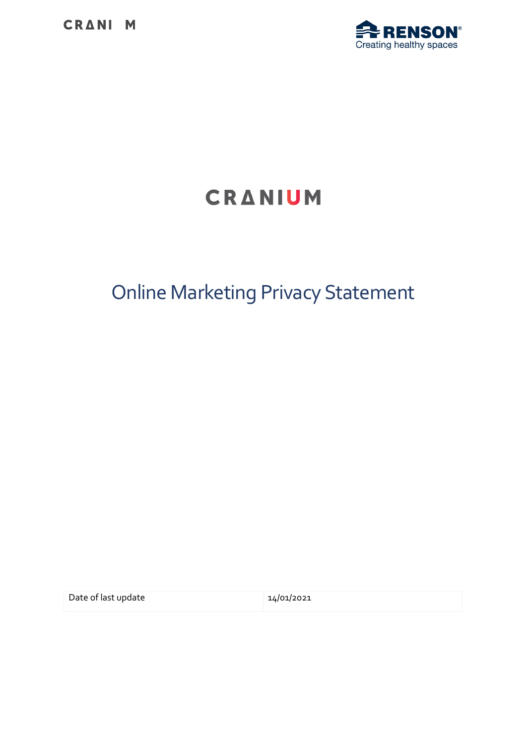

# CRANIUM

# Online Marketing Privacy Statement

Date of last update 14/01/2021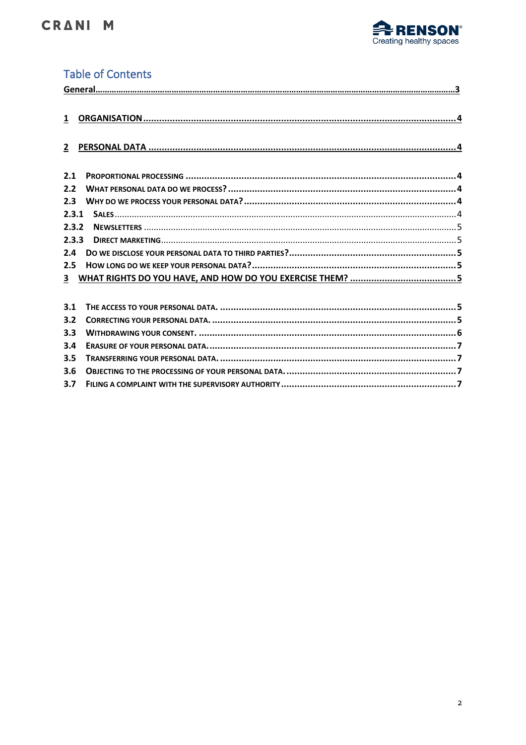

## **Table of Contents**

| $\mathbf{1}$ |                                                          |  |
|--------------|----------------------------------------------------------|--|
| $\mathbf{2}$ |                                                          |  |
| 2.1          |                                                          |  |
| 2.2          |                                                          |  |
| 2.3          |                                                          |  |
| 2.3.1        |                                                          |  |
| 2.3.2        |                                                          |  |
| 2.3.3        |                                                          |  |
| 2.4          |                                                          |  |
| 2.5          |                                                          |  |
| 3            |                                                          |  |
|              |                                                          |  |
| 3.1          |                                                          |  |
| 3.2          |                                                          |  |
| 3.3          |                                                          |  |
| 3.4          |                                                          |  |
| 3.5          |                                                          |  |
|              | $2.6$ ORIECTING TO THE RROCECCING OF VOLID RERSONAL DATA |  |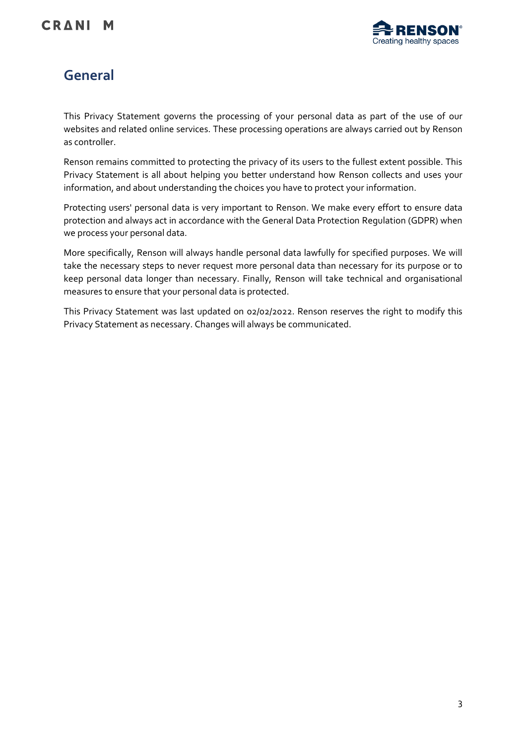

# **General**

This Privacy Statement governs the processing of your personal data as part of the use of our websites and related online services. These processing operations are always carried out by Renson as controller.

Renson remains committed to protecting the privacy of its users to the fullest extent possible. This Privacy Statement is all about helping you better understand how Renson collects and uses your information, and about understanding the choices you have to protect your information.

Protecting users' personal data is very important to Renson. We make every effort to ensure data protection and always act in accordance with the General Data Protection Regulation (GDPR) when we process your personal data.

More specifically, Renson will always handle personal data lawfully for specified purposes. We will take the necessary steps to never request more personal data than necessary for its purpose or to keep personal data longer than necessary. Finally, Renson will take technical and organisational measures to ensure that your personal data is protected.

This Privacy Statement was last updated on 02/02/2022. Renson reserves the right to modify this Privacy Statement as necessary. Changes will always be communicated.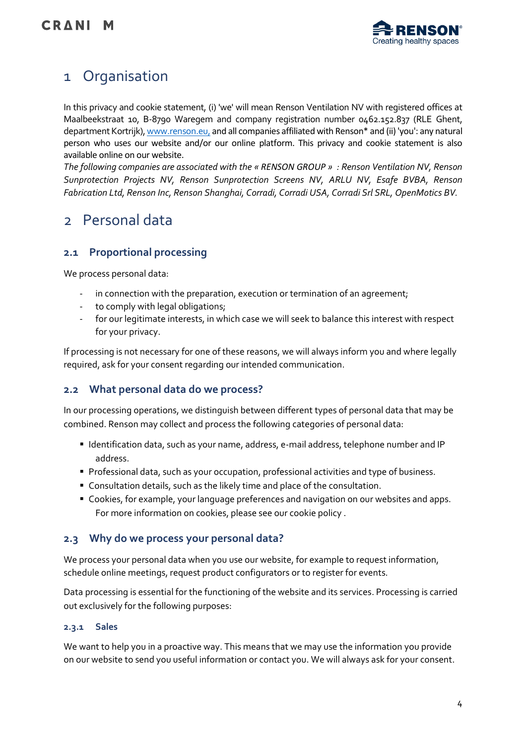

## <span id="page-3-0"></span>1 Organisation

In this privacy and cookie statement, (i) 'we' will mean Renson Ventilation NV with registered offices at Maalbeekstraat 10, B-8790 Waregem and company registration number 0462.152.837 (RLE Ghent, department Kortrijk)[, www.renson.eu,](https://www.renson.eu/nl-be) and all companies affiliated with Renson\* and (ii) 'you': any natural person who uses our website and/or our online platform. This privacy and cookie statement is also available online on our website.

*The following companies are associated with the « RENSON GROUP » : Renson Ventilation NV, Renson Sunprotection Projects NV, Renson Sunprotection Screens NV, ARLU NV, Esafe BVBA, Renson Fabrication Ltd, Renson Inc, Renson Shanghai, Corradi, Corradi USA, Corradi Srl SRL, OpenMotics BV.*

## <span id="page-3-1"></span>2 Personal data

## <span id="page-3-2"></span>**2.1 Proportional processing**

We process personal data:

- in connection with the preparation, execution or termination of an agreement;
- to comply with legal obligations;
- for our legitimate interests, in which case we will seek to balance this interest with respect for your privacy.

If processing is not necessary for one of these reasons, we will always inform you and where legally required, ask for your consent regarding our intended communication.

#### <span id="page-3-3"></span>**2.2 What personal data do we process?**

In our processing operations, we distinguish between different types of personal data that may be combined. Renson may collect and process the following categories of personal data:

- Identification data, such as your name, address, e-mail address, telephone number and IP address.
- Professional data, such as your occupation, professional activities and type of business.
- Consultation details, such as the likely time and place of the consultation.
- Cookies, for example, your language preferences and navigation on our websites and apps. For more information on cookies, please see our cookie policy .

#### <span id="page-3-4"></span>**2.3 Why do we process your personal data?**

We process your personal data when you use our website, for example to request information, schedule online meetings, request product configurators or to register for events.

Data processing is essential for the functioning of the website and its services. Processing is carried out exclusively for the following purposes:

#### <span id="page-3-5"></span>**2.3.1 Sales**

We want to help you in a proactive way. This means that we may use the information you provide on our website to send you useful information or contact you. We will always ask for your consent.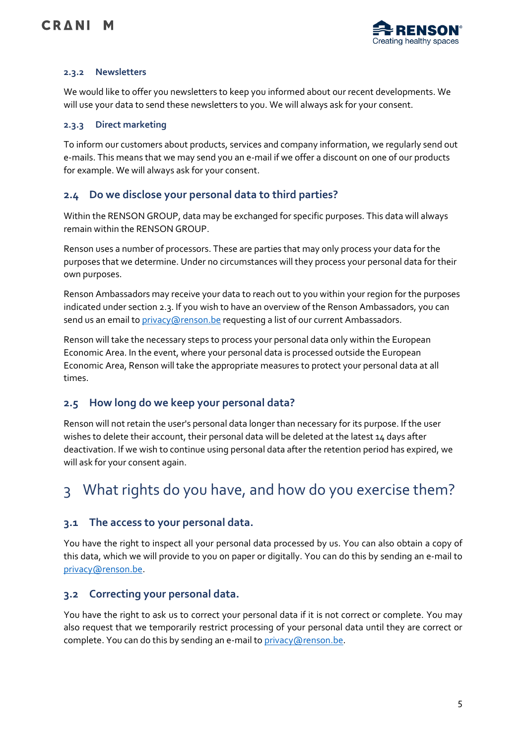

#### <span id="page-4-0"></span>**2.3.2 Newsletters**

We would like to offer you newsletters to keep you informed about our recent developments. We will use your data to send these newsletters to you. We will always ask for your consent.

#### <span id="page-4-1"></span>**2.3.3 Direct marketing**

To inform our customers about products, services and company information, we regularly send out e-mails. This means that we may send you an e-mail if we offer a discount on one of our products for example. We will always ask for your consent.

#### <span id="page-4-2"></span>**2.4 Do we disclose your personal data to third parties?**

<span id="page-4-3"></span>Within the RENSON GROUP, data may be exchanged for specific purposes. This data will always remain within the RENSON GROUP.

Renson uses a number of processors. These are parties that may only process your data for the purposes that we determine. Under no circumstances will they process your personal data for their own purposes.

Renson Ambassadors may receive your data to reach out to you within your region for the purposes indicated under section 2.3. If you wish to have an overview of the Renson Ambassadors, you can send us an email t[o privacy@renson.be](mailto:privacy@renson.be) requesting a list of our current Ambassadors.

Renson will take the necessary steps to process your personal data only within the European Economic Area. In the event, where your personal data is processed outside the European Economic Area, Renson will take the appropriate measures to protect your personal data at all times.

#### **2.5 How long do we keep your personal data?**

Renson will not retain the user's personal data longer than necessary for its purpose. If the user wishes to delete their account, their personal data will be deleted at the latest 14 days after deactivation. If we wish to continue using personal data after the retention period has expired, we will ask for your consent again.

# <span id="page-4-4"></span>3 What rights do you have, and how do you exercise them?

#### <span id="page-4-5"></span>**3.1 The access to your personal data.**

You have the right to inspect all your personal data processed by us. You can also obtain a copy of this data, which we will provide to you on paper or digitally. You can do this by sending an e-mail to [privacy@renson.be.](mailto:privacy@renson.be)

#### <span id="page-4-6"></span>**3.2 Correcting your personal data.**

You have the right to ask us to correct your personal data if it is not correct or complete. You may also request that we temporarily restrict processing of your personal data until they are correct or complete. You can do this by sending an e-mail to [privacy@renson.be.](mailto:privacy@renson.be)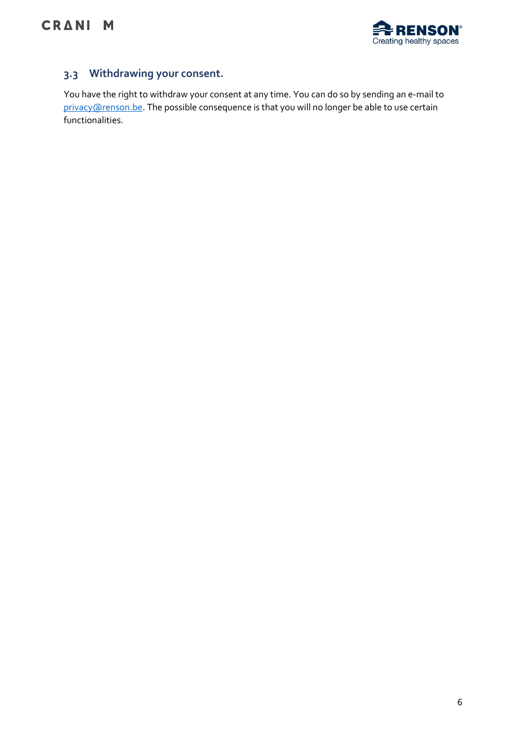

## <span id="page-5-0"></span>**3.3 Withdrawing your consent.**

You have the right to withdraw your consent at any time. You can do so by sending an e-mail to [privacy@renson.be.](mailto:privacy@renson.be) The possible consequence is that you will no longer be able to use certain functionalities.